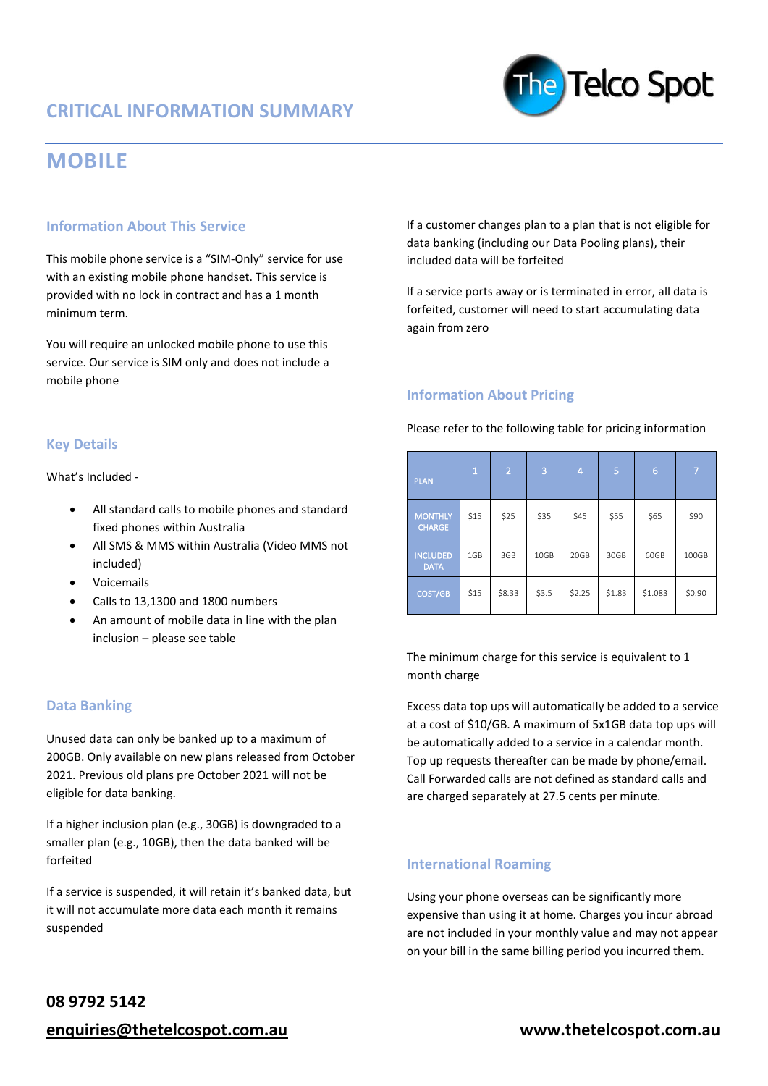# **MOBILE**

# **Information About This Service**

This mobile phone service is a "SIM-Only" service for use with an existing mobile phone handset. This service is provided with no lock in contract and has a 1 month minimum term.

You will require an unlocked mobile phone to use this service. Our service is SIM only and does not include a mobile phone

If a customer changes plan to a plan that is not eligible for data banking (including our Data Pooling plans), their included data will be forfeited

The Telco Spot

If a service ports away or is terminated in error, all data is forfeited, customer will need to start accumulating data again from zero

## **Information About Pricing**

Please refer to the following table for pricing information

| <b>PLAN</b>                     | $\mathbf{1}$ | 2      | 3     | 4      | 5      | 6       | 7      |
|---------------------------------|--------------|--------|-------|--------|--------|---------|--------|
| <b>MONTHLY</b><br><b>CHARGE</b> | \$15         | \$25   | \$35  | \$45   | \$55   | \$65    | \$90   |
| <b>INCLUDED</b><br><b>DATA</b>  | 1GB          | 3GB    | 10GB  | 20GB   | 30GB   | 60GB    | 100GB  |
| COST/GB                         | \$15         | \$8.33 | \$3.5 | \$2.25 | \$1.83 | \$1.083 | \$0.90 |

The minimum charge for this service is equivalent to 1 month charge

Excess data top ups will automatically be added to a service at a cost of \$10/GB. A maximum of 5x1GB data top ups will be automatically added to a service in a calendar month. Top up requests thereafter can be made by phone/email. Call Forwarded calls are not defined as standard calls and are charged separately at 27.5 cents per minute.

**International Roaming**

Using your phone overseas can be significantly more expensive than using it at home. Charges you incur abroad are not included in your monthly value and may not appear on your bill in the same billing period you incurred them.

### **Key Details**

What's Included -

- All standard calls to mobile phones and standard fixed phones within Australia
- All SMS & MMS within Australia (Video MMS not included)
- Voicemails
- Calls to 13,1300 and 1800 numbers
- An amount of mobile data in line with the plan inclusion – please see table

# **Data Banking**

Unused data can only be banked up to a maximum of 200GB. Only available on new plans released from October 2021. Previous old plans pre October 2021 will not be eligible for data banking.

If a higher inclusion plan (e.g., 30GB) is downgraded to a smaller plan (e.g., 10GB), then the data banked will be forfeited

If a service is suspended, it will retain it's banked data, but it will not accumulate more data each month it remains suspended

# **08 9792 5142**

**[enquiries@thetelcospot.com.au](mailto:enquiries@thetelcospot.com.au) www.thetelcospot.com.au**